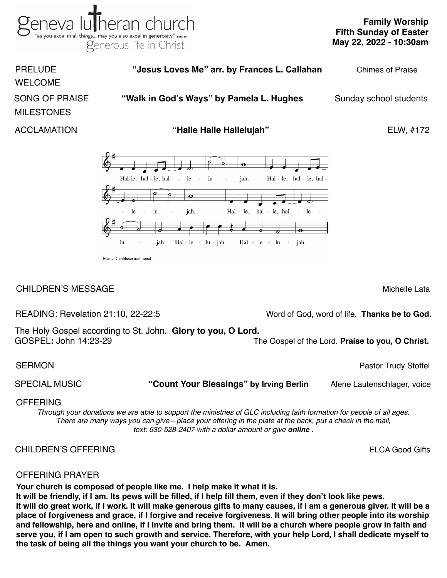# you excel in all things may you also excel in generosity." 2 COR. B.7 **generous life in Christ**





Music: Caribbean traditional

CHILDREN'S MESSAGEMichelle Lata

The Holy Gospel according to St. John. **Glory to you, O Lord.**  GOSPEL: John 14:23-29 **The Gospel of the Lord. Praise to you, O Christ.** 

SPECIAL MUSIC **"Count Your Blessings" by Irving Berlin** Alene Lautenschlager, voice

### **OFFERING**

*Through your donations we are able to support the ministries of GLC including faith formation for people of all ages. There are many ways you can give—place your offering in the plate at the back, put a check in the mail, text: 630-528-2407 with a dollar amount or give [online](https://secure.myvanco.com/YNE6) .*

# CHILDREN'S OFFERING ELCA Good Gifts

OFFERING PRAYER

**Your church is composed of people like me. I help make it what it is.** 

**It will be friendly, if I am. Its pews will be filled, if I help fill them, even if they don't look like pews. It will do great work, if I work. It will make generous gifts to many causes, if I am a generous giver. It will be a place of forgiveness and grace, if I forgive and receive forgiveness. It will bring other people into its worship and fellowship, here and online, if I invite and bring them. It will be a church where people grow in faith and serve you, if I am open to such growth and service. Therefore, with your help Lord, I shall dedicate myself to the task of being all the things you want your church to be. Amen.**

READING: Revelation 21:10, 22-22:5 Word of God, word of life. **Thanks be to God.**

SERMON Pastor Trudy Stoffel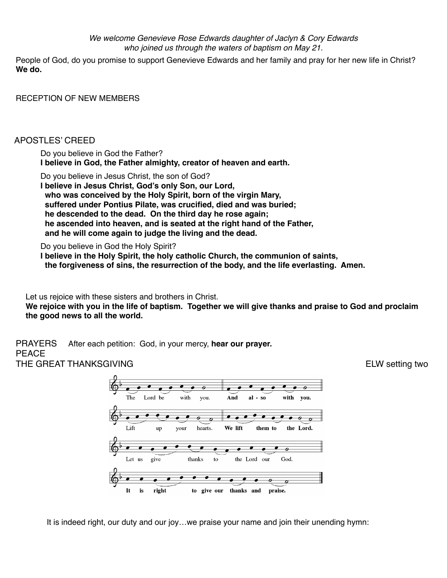#### *We welcome Genevieve Rose Edwards daughter of Jaclyn & Cory Edwards who joined us through the waters of baptism on May 21.*

People of God, do you promise to support Genevieve Edwards and her family and pray for her new life in Christ? **We do.**

RECEPTION OF NEW MEMBERS

### APOSTLES' CREED

Do you believe in God the Father? **I believe in God, the Father almighty, creator of heaven and earth.** 

Do you believe in Jesus Christ, the son of God? **I believe in Jesus Christ, God's only Son, our Lord, who was conceived by the Holy Spirit, born of the virgin Mary, suffered under Pontius Pilate, was crucified, died and was buried; he descended to the dead. On the third day he rose again; he ascended into heaven, and is seated at the right hand of the Father, and he will come again to judge the living and the dead.** 

Do you believe in God the Holy Spirit?

**I believe in the Holy Spirit, the holy catholic Church, the communion of saints, the forgiveness of sins, the resurrection of the body, and the life everlasting. Amen.**

Let us rejoice with these sisters and brothers in Christ.

**We rejoice with you in the life of baptism. Together we will give thanks and praise to God and proclaim the good news to all the world.**

PRAYERS After each petition: God, in your mercy, **hear our prayer.**  PEACE THE GREAT THANKSGIVING **ELW SETTING** 



It is indeed right, our duty and our joy…we praise your name and join their unending hymn: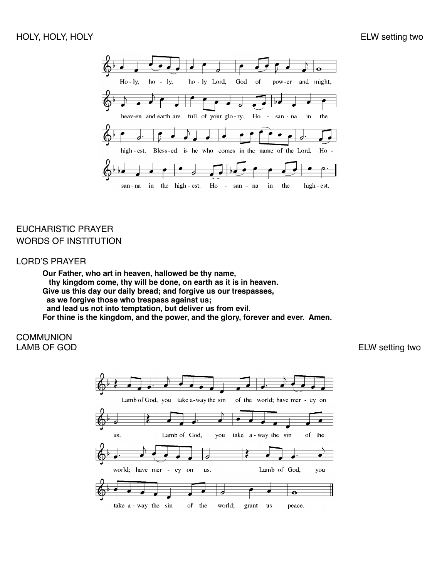### HOLY, HOLY, HOLY **ELW** setting two



## EUCHARISTIC PRAYER WORDS OF INSTITUTION

### LORD'S PRAYER

**Our Father, who art in heaven, hallowed be thy name, thy kingdom come, thy will be done, on earth as it is in heaven. Give us this day our daily bread; and forgive us our trespasses, as we forgive those who trespass against us; and lead us not into temptation, but deliver us from evil. For thine is the kingdom, and the power, and the glory, forever and ever. Amen.** 

COMMUNION

LAMB OF GOD ELW setting two